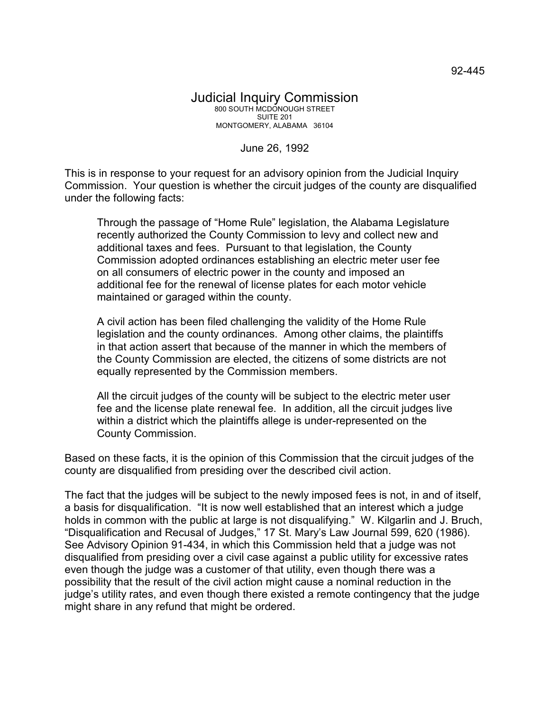June 26, 1992

This is in response to your request for an advisory opinion from the Judicial Inquiry Commission. Your question is whether the circuit judges of the county are disqualified under the following facts:

Through the passage of "Home Rule" legislation, the Alabama Legislature recently authorized the County Commission to levy and collect new and additional taxes and fees. Pursuant to that legislation, the County Commission adopted ordinances establishing an electric meter user fee on all consumers of electric power in the county and imposed an additional fee for the renewal of license plates for each motor vehicle maintained or garaged within the county.

A civil action has been filed challenging the validity of the Home Rule legislation and the county ordinances. Among other claims, the plaintiffs in that action assert that because of the manner in which the members of the County Commission are elected, the citizens of some districts are not equally represented by the Commission members.

All the circuit judges of the county will be subject to the electric meter user fee and the license plate renewal fee. In addition, all the circuit judges live within a district which the plaintiffs allege is under-represented on the County Commission.

Based on these facts, it is the opinion of this Commission that the circuit judges of the county are disqualified from presiding over the described civil action.

The fact that the judges will be subject to the newly imposed fees is not, in and of itself, a basis for disqualification. "It is now well established that an interest which a judge holds in common with the public at large is not disqualifying." W. Kilgarlin and J. Bruch, "Disqualification and Recusal of Judges," 17 St. Mary's Law Journal 599, 620 (1986). See Advisory Opinion 91-434, in which this Commission held that a judge was not disqualified from presiding over a civil case against a public utility for excessive rates even though the judge was a customer of that utility, even though there was a possibility that the result of the civil action might cause a nominal reduction in the judge's utility rates, and even though there existed a remote contingency that the judge might share in any refund that might be ordered.